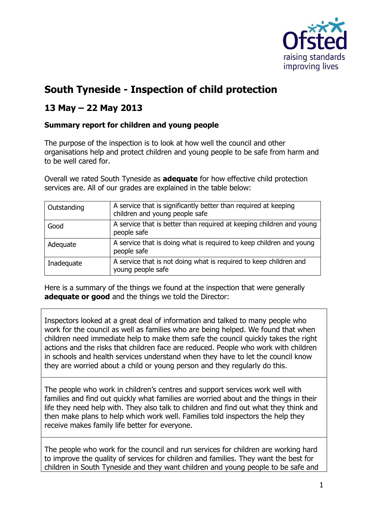

## **South Tyneside - Inspection of child protection**

## **13 May – 22 May 2013**

## **Summary report for children and young people**

The purpose of the inspection is to look at how well the council and other organisations help and protect children and young people to be safe from harm and to be well cared for.

Overall we rated South Tyneside as **adequate** for how effective child protection services are. All of our grades are explained in the table below:

| Outstanding | A service that is significantly better than required at keeping<br>children and young people safe |
|-------------|---------------------------------------------------------------------------------------------------|
| Good        | A service that is better than required at keeping children and young<br>people safe               |
| Adequate    | A service that is doing what is required to keep children and young<br>people safe                |
| Inadequate  | A service that is not doing what is required to keep children and<br>young people safe            |

Here is a summary of the things we found at the inspection that were generally **adequate or good** and the things we told the Director:

Inspectors looked at a great deal of information and talked to many people who work for the council as well as families who are being helped. We found that when children need immediate help to make them safe the council quickly takes the right actions and the risks that children face are reduced. People who work with children in schools and health services understand when they have to let the council know they are worried about a child or young person and they regularly do this.

The people who work in children's centres and support services work well with families and find out quickly what families are worried about and the things in their life they need help with. They also talk to children and find out what they think and then make plans to help which work well. Families told inspectors the help they receive makes family life better for everyone.

The people who work for the council and run services for children are working hard to improve the quality of services for children and families. They want the best for children in South Tyneside and they want children and young people to be safe and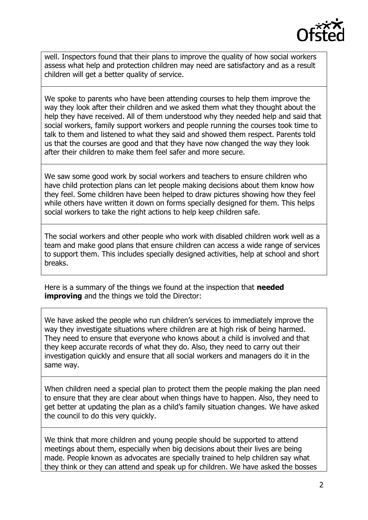

well. Inspectors found that their plans to improve the quality of how social workers assess what help and protection children may need are satisfactory and as a result children will get a better quality of service.

We spoke to parents who have been attending courses to help them improve the way they look after their children and we asked them what they thought about the help they have received. All of them understood why they needed help and said that social workers, family support workers and people running the courses took time to talk to them and listened to what they said and showed them respect. Parents told us that the courses are good and that they have now changed the way they look after their children to make them feel safer and more secure.

We saw some good work by social workers and teachers to ensure children who have child protection plans can let people making decisions about them know how they feel. Some children have been helped to draw pictures showing how they feel while others have written it down on forms specially designed for them. This helps social workers to take the right actions to help keep children safe.

The social workers and other people who work with disabled children work well as a team and make good plans that ensure children can access a wide range of services to support them. This includes specially designed activities, help at school and short breaks.

Here is a summary of the things we found at the inspection that **needed improving** and the things we told the Director:

We have asked the people who run children's services to immediately improve the way they investigate situations where children are at high risk of being harmed. They need to ensure that everyone who knows about a child is involved and that they keep accurate records of what they do. Also, they need to carry out their investigation quickly and ensure that all social workers and managers do it in the same way.

When children need a special plan to protect them the people making the plan need to ensure that they are clear about when things have to happen. Also, they need to get better at updating the plan as a child's family situation changes. We have asked the council to do this very quickly.

We think that more children and young people should be supported to attend meetings about them, especially when big decisions about their lives are being made. People known as advocates are specially trained to help children say what they think or they can attend and speak up for children. We have asked the bosses